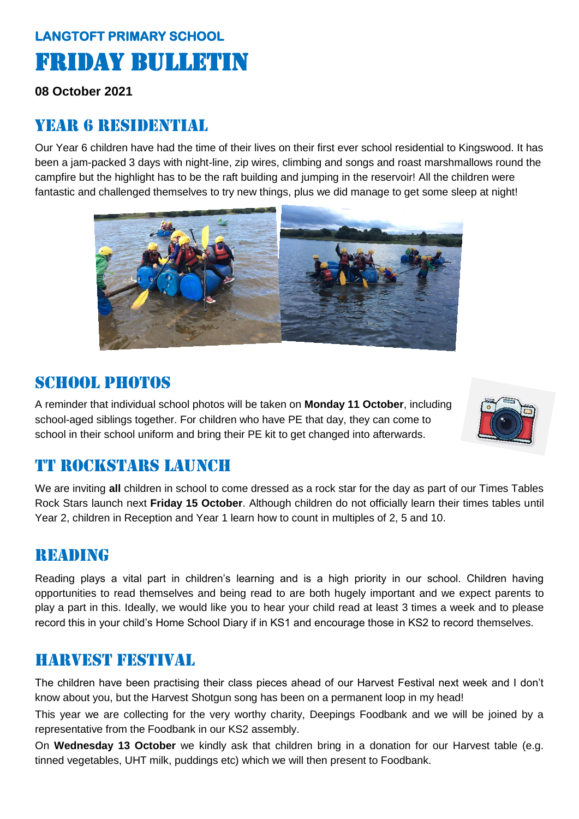# **LANGTOFT PRIMARY SCHOOL**  Friday Bulletin

**08 October 2021**

### YEAR **6 RESIDENTIAL**

Our Year 6 children have had the time of their lives on their first ever school residential to Kingswood. It has been a jam-packed 3 days with night-line, zip wires, climbing and songs and roast marshmallows round the campfire but the highlight has to be the raft building and jumping in the reservoir! All the children were fantastic and challenged themselves to try new things, plus we did manage to get some sleep at night!



### **SCHOOL PHOTOS**

A reminder that individual school photos will be taken on **Monday 11 October**, including school-aged siblings together. For children who have PE that day, they can come to school in their school uniform and bring their PE kit to get changed into afterwards.



### **TT ROCKSTARS LAUNCH**

We are inviting **all** children in school to come dressed as a rock star for the day as part of our Times Tables Rock Stars launch next **Friday 15 October**. Although children do not officially learn their times tables until Year 2, children in Reception and Year 1 learn how to count in multiples of 2, 5 and 10.

### reading

Reading plays a vital part in children's learning and is a high priority in our school. Children having opportunities to read themselves and being read to are both hugely important and we expect parents to play a part in this. Ideally, we would like you to hear your child read at least 3 times a week and to please record this in your child's Home School Diary if in KS1 and encourage those in KS2 to record themselves.

### Harvest festival

The children have been practising their class pieces ahead of our Harvest Festival next week and I don't know about you, but the Harvest Shotgun song has been on a permanent loop in my head!

This year we are collecting for the very worthy charity, Deepings Foodbank and we will be joined by a representative from the Foodbank in our KS2 assembly.

On **Wednesday 13 October** we kindly ask that children bring in a donation for our Harvest table (e.g. tinned vegetables, UHT milk, puddings etc) which we will then present to Foodbank.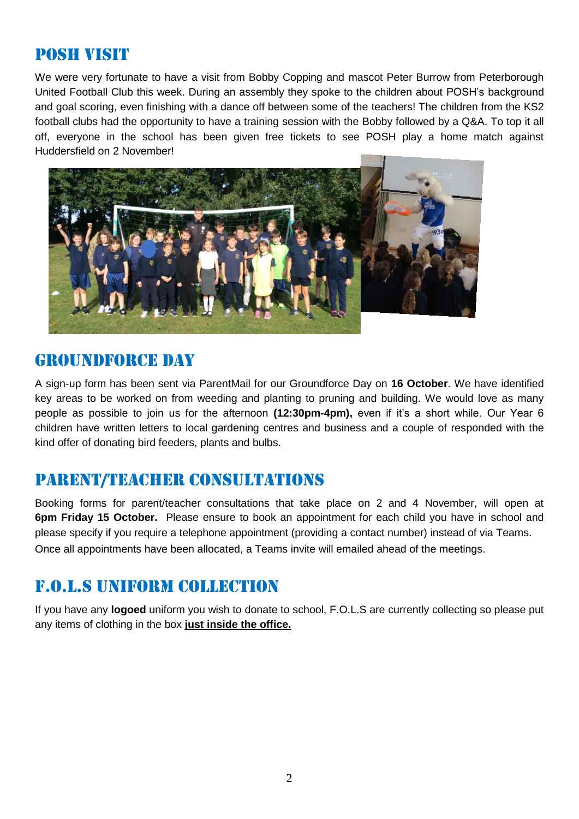### Posh visit

We were very fortunate to have a visit from Bobby Copping and mascot Peter Burrow from Peterborough United Football Club this week. During an assembly they spoke to the children about POSH's background and goal scoring, even finishing with a dance off between some of the teachers! The children from the KS2 football clubs had the opportunity to have a training session with the Bobby followed by a Q&A. To top it all off, everyone in the school has been given free tickets to see POSH play a home match against Huddersfield on 2 November!



### Groundforce day

A sign-up form has been sent via ParentMail for our Groundforce Day on **16 October**. We have identified key areas to be worked on from weeding and planting to pruning and building. We would love as many people as possible to join us for the afternoon **(12:30pm-4pm),** even if it's a short while. Our Year 6 children have written letters to local gardening centres and business and a couple of responded with the kind offer of donating bird feeders, plants and bulbs.

### PARENT/TEACHER CONSULTATIONS

Booking forms for parent/teacher consultations that take place on 2 and 4 November, will open at **6pm Friday 15 October.** Please ensure to book an appointment for each child you have in school and please specify if you require a telephone appointment (providing a contact number) instead of via Teams. Once all appointments have been allocated, a Teams invite will emailed ahead of the meetings.

### f.o.l.s uniform collection

If you have any **logoed** uniform you wish to donate to school, F.O.L.S are currently collecting so please put any items of clothing in the box **just inside the office.**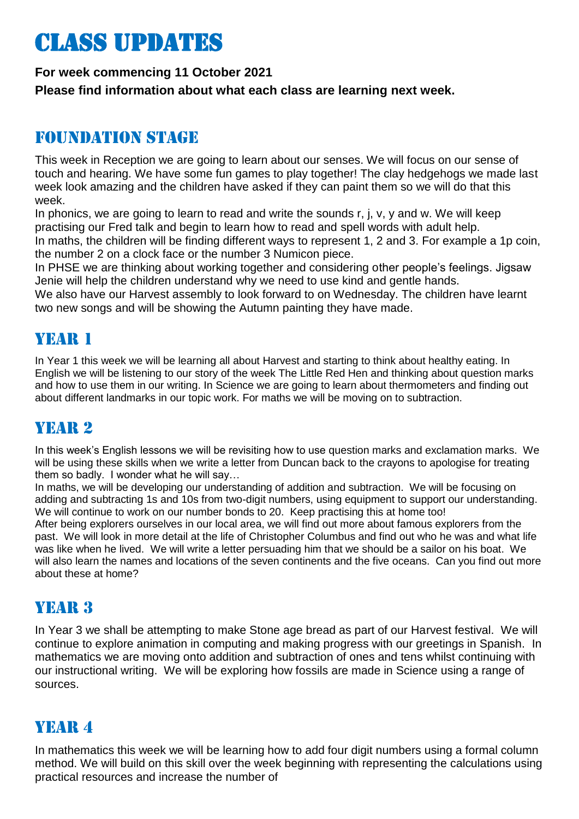# Class updates

#### **For week commencing 11 October 2021 Please find information about what each class are learning next week.**

### Foundation stage

This week in Reception we are going to learn about our senses. We will focus on our sense of touch and hearing. We have some fun games to play together! The clay hedgehogs we made last week look amazing and the children have asked if they can paint them so we will do that this week.

In phonics, we are going to learn to read and write the sounds r, j, v, y and w. We will keep practising our Fred talk and begin to learn how to read and spell words with adult help. In maths, the children will be finding different ways to represent 1, 2 and 3. For example a 1p coin,

the number 2 on a clock face or the number 3 Numicon piece.

In PHSE we are thinking about working together and considering other people's feelings. Jigsaw Jenie will help the children understand why we need to use kind and gentle hands.

We also have our Harvest assembly to look forward to on Wednesday. The children have learnt two new songs and will be showing the Autumn painting they have made.

# YEAR 1

In Year 1 this week we will be learning all about Harvest and starting to think about healthy eating. In English we will be listening to our story of the week The Little Red Hen and thinking about question marks and how to use them in our writing. In Science we are going to learn about thermometers and finding out about different landmarks in our topic work. For maths we will be moving on to subtraction.

# YEAR 2

In this week's English lessons we will be revisiting how to use question marks and exclamation marks. We will be using these skills when we write a letter from Duncan back to the crayons to apologise for treating them so badly. I wonder what he will say…

In maths, we will be developing our understanding of addition and subtraction. We will be focusing on adding and subtracting 1s and 10s from two-digit numbers, using equipment to support our understanding. We will continue to work on our number bonds to 20. Keep practising this at home too!

After being explorers ourselves in our local area, we will find out more about famous explorers from the past. We will look in more detail at the life of Christopher Columbus and find out who he was and what life was like when he lived. We will write a letter persuading him that we should be a sailor on his boat. We will also learn the names and locations of the seven continents and the five oceans. Can you find out more about these at home?

# YEAR 3

In Year 3 we shall be attempting to make Stone age bread as part of our Harvest festival. We will continue to explore animation in computing and making progress with our greetings in Spanish. In mathematics we are moving onto addition and subtraction of ones and tens whilst continuing with our instructional writing. We will be exploring how fossils are made in Science using a range of sources.

### YEAR 4

In mathematics this week we will be learning how to add four digit numbers using a formal column method. We will build on this skill over the week beginning with representing the calculations using practical resources and increase the number of